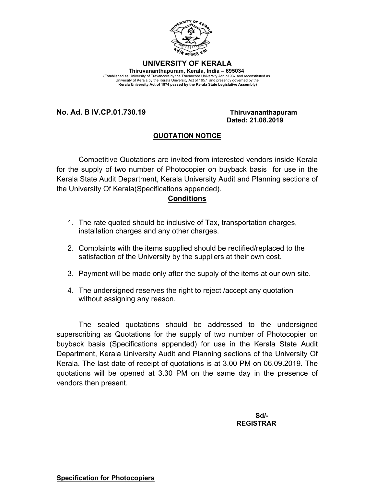

## **UNIVERSITY OF KERALA Thiruvananthapuram, Kerala, India – 695034**  (Established as University of Travancore by the Travancore University Act in1937 and reconstituted as<br>University of Kerala by the Kerala University Act of 1957 and presently governed by the<br>Kerala University Act of 1974 pa

**No. Ad. B IV.CP.01.730.19 Thiruvananthapuram**

## **Dated: 21.08.2019**

## **QUOTATION NOTICE**

Competitive Quotations are invited from interested vendors inside Kerala for the supply of two number of Photocopier on buyback basis for use in the Kerala State Audit Department, Kerala University Audit and Planning sections of the University Of Kerala(Specifications appended).

## **Conditions**

- 1. The rate quoted should be inclusive of Tax, transportation charges, installation charges and any other charges.
- 2. Complaints with the items supplied should be rectified/replaced to the satisfaction of the University by the suppliers at their own cost.
- 3. Payment will be made only after the supply of the items at our own site.
- 4. The undersigned reserves the right to reject /accept any quotation without assigning any reason.

The sealed quotations should be addressed to the undersigned superscribing as Quotations for the supply of two number of Photocopier on buyback basis (Specifications appended) for use in the Kerala State Audit Department, Kerala University Audit and Planning sections of the University Of Kerala. The last date of receipt of quotations is at 3.00 PM on 06.09.2019. The quotations will be opened at 3.30 PM on the same day in the presence of vendors then present.

> **Sd/- REGISTRAR**